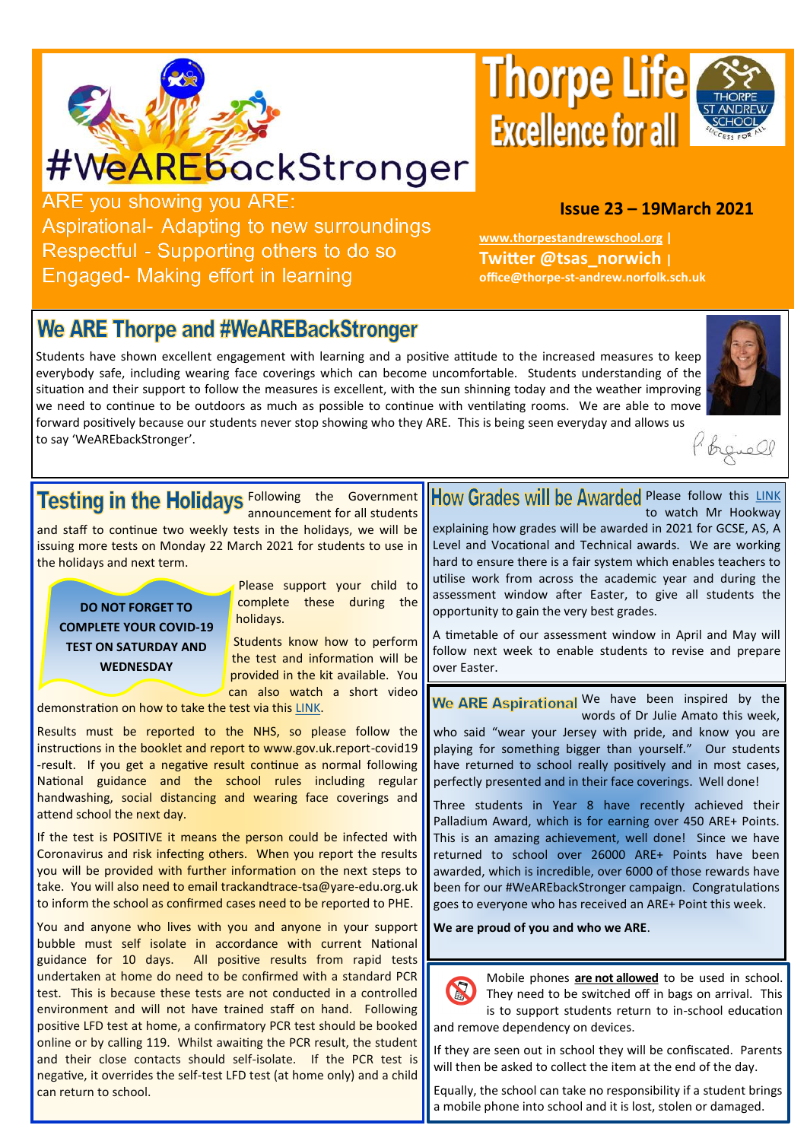

# #WeAREbackStronger

**Thorpe Life Excellence for all** 



#### **Issue 23 – 19March 2021**

**[www.thorpestandrewschool.org](https://thorpestandrewschool.org.uk/) | Twitter @tsas\_norwich | office@thorpe-st-andrew.norfolk.sch.uk**

**ARE** you showing you ARE: Aspirational- Adapting to new surroundings Respectful - Supporting others to do so Engaged- Making effort in learning

## **We ARE Thorpe and #WeAREBackStronger**

Students have shown excellent engagement with learning and a positive attitude to the increased measures to keep everybody safe, including wearing face coverings which can become uncomfortable. Students understanding of the situation and their support to follow the measures is excellent, with the sun shinning today and the weather improving we need to continue to be outdoors as much as possible to continue with ventilating rooms. We are able to move forward positively because our students never stop showing who they ARE. This is being seen everyday and allows us to say 'WeAREbackStronger'.





Following the Government announcement for all students

and staff to continue two weekly tests in the holidays, we will be issuing more tests on Monday 22 March 2021 for students to use in the holidays and next term.

**DO NOT FORGET TO COMPLETE YOUR COVID-19 TEST ON SATURDAY AND WEDNESDAY**

Please support your child to complete these during the holidays.

Students know how to perform the test and information will be provided in the kit available. You can also watch a short video

demonstration on how to take the test via this [LINK.](https://www.youtube.com/watch?v=S9XR8RZxKNo&list=PLvaBZskxS7tzQYlVg7lwH5uxAD9UrSzGJ)

Results must be reported to the NHS, so please follow the instructions in the booklet and report to www.gov.uk.report-covid19 -result. If you get a negative result continue as normal following National guidance and the school rules including regular handwashing, social distancing and wearing face coverings and attend school the next day.

If the test is POSITIVE it means the person could be infected with Coronavirus and risk infecting others. When you report the results you will be provided with further information on the next steps to take. You will also need to email trackandtrace-tsa@yare-edu.org.uk to inform the school as confirmed cases need to be reported to PHE.

You and anyone who lives with you and anyone in your support bubble must self isolate in accordance with current National guidance for 10 days. All positive results from rapid tests undertaken at home do need to be confirmed with a standard PCR test. This is because these tests are not conducted in a controlled environment and will not have trained staff on hand. Following positive LFD test at home, a confirmatory PCR test should be booked online or by calling 119. Whilst awaiting the PCR result, the student and their close contacts should self-isolate. If the PCR test is negative, it overrides the self-test LFD test (at home only) and a child can return to school.

#### How Grades will be Awarded Please follow this [LINK](https://youtu.be/xOdNtiucQYs) to watch Mr Hookway

explaining how grades will be awarded in 2021 for GCSE, AS, A Level and Vocational and Technical awards. We are working hard to ensure there is a fair system which enables teachers to utilise work from across the academic year and during the assessment window after Easter, to give all students the opportunity to gain the very best grades.

A timetable of our assessment window in April and May will follow next week to enable students to revise and prepare over Easter.

We ARE Aspirational We have been inspired by the words of Dr Julie Amato this week, who said "wear your Jersey with pride, and know you are playing for something bigger than yourself." Our students have returned to school really positively and in most cases, perfectly presented and in their face coverings. Well done!

Three students in Year 8 have recently achieved their Palladium Award, which is for earning over 450 ARE+ Points. This is an amazing achievement, well done! Since we have returned to school over 26000 ARE+ Points have been awarded, which is incredible, over 6000 of those rewards have been for our #WeAREbackStronger campaign. Congratulations goes to everyone who has received an ARE+ Point this week.

**We are proud of you and who we ARE**.



Mobile phones **are not allowed** to be used in school. They need to be switched off in bags on arrival. This is to support students return to in-school education and remove dependency on devices.

If they are seen out in school they will be confiscated. Parents will then be asked to collect the item at the end of the day.

Equally, the school can take no responsibility if a student brings a mobile phone into school and it is lost, stolen or damaged.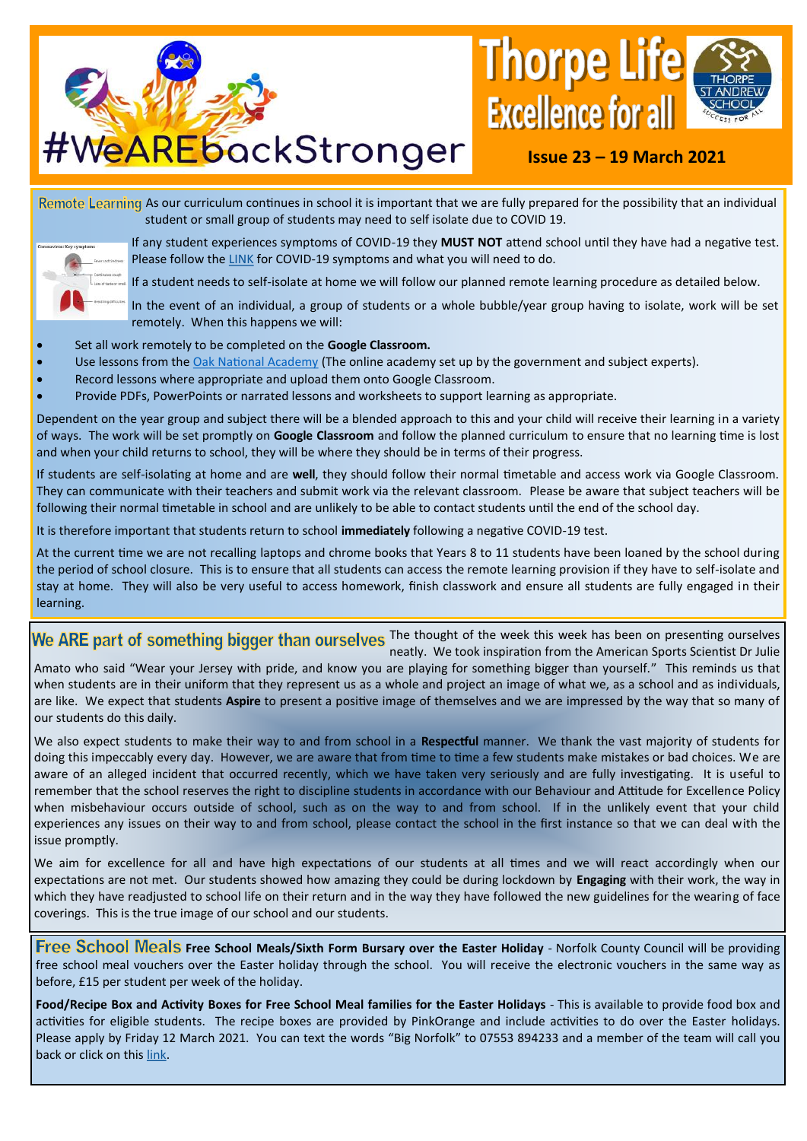

## **Issue 23 – 19 March 2021**

Remote Learning As our curriculum continues in school it is important that we are fully prepared for the possibility that an individual student or small group of students may need to self isolate due to COVID 19.



If any student experiences symptoms of COVID-19 they **MUST NOT** attend school until they have had a negative test. Please follow the [LINK](https://www.gov.uk/government/collections/coronavirus-covid-19-list-of-guidance) for COVID-19 symptoms and what you will need to do.

If a student needs to self-isolate at home we will follow our planned remote learning procedure as detailed below.

In the event of an individual, a group of students or a whole bubble/year group having to isolate, work will be set remotely. When this happens we will:

- Set all work remotely to be completed on the **Google Classroom.**
- Use lessons from the [Oak National Academy](https://www.thenational.academy/) (The online academy set up by the government and subject experts).
- Record lessons where appropriate and upload them onto Google Classroom.
- Provide PDFs, PowerPoints or narrated lessons and worksheets to support learning as appropriate.

Dependent on the year group and subject there will be a blended approach to this and your child will receive their learning in a variety of ways. The work will be set promptly on **Google Classroom** and follow the planned curriculum to ensure that no learning time is lost and when your child returns to school, they will be where they should be in terms of their progress.

If students are self-isolating at home and are **well**, they should follow their normal timetable and access work via Google Classroom. They can communicate with their teachers and submit work via the relevant classroom. Please be aware that subject teachers will be following their normal timetable in school and are unlikely to be able to contact students until the end of the school day.

It is therefore important that students return to school **immediately** following a negative COVID-19 test.

At the current time we are not recalling laptops and chrome books that Years 8 to 11 students have been loaned by the school during the period of school closure. This is to ensure that all students can access the remote learning provision if they have to self-isolate and stay at home. They will also be very useful to access homework, finish classwork and ensure all students are fully engaged in their learning.

We ARE part of something bigger than ourselves The thought of the week this week has been on presenting ourselves neatly. We took inspiration from the American Sports Scientist Dr Julie Amato who said "Wear your Jersey with pride, and know you are playing for something bigger than yourself." This reminds us that when students are in their uniform that they represent us as a whole and project an image of what we, as a school and as individuals, are like. We expect that students **Aspire** to present a positive image of themselves and we are impressed by the way that so many of our students do this daily.

We also expect students to make their way to and from school in a **Respectful** manner. We thank the vast majority of students for doing this impeccably every day. However, we are aware that from time to time a few students make mistakes or bad choices. We are aware of an alleged incident that occurred recently, which we have taken very seriously and are fully investigating. It is useful to remember that the school reserves the right to discipline students in accordance with our Behaviour and Attitude for Excellence Policy when misbehaviour occurs outside of school, such as on the way to and from school. If in the unlikely event that your child experiences any issues on their way to and from school, please contact the school in the first instance so that we can deal with the issue promptly.

We aim for excellence for all and have high expectations of our students at all times and we will react accordingly when our expectations are not met. Our students showed how amazing they could be during lockdown by **Engaging** with their work, the way in which they have readjusted to school life on their return and in the way they have followed the new guidelines for the wearing of face coverings. This is the true image of our school and our students.

**Free School Meals Free School Meals/Sixth Form Bursary over the Easter Holiday - Norfolk County Council will be providing** free school meal vouchers over the Easter holiday through the school. You will receive the electronic vouchers in the same way as before, £15 per student per week of the holiday.

**Food/Recipe Box and Activity Boxes for Free School Meal families for the Easter Holidays** - This is available to provide food box and activities for eligible students. The recipe boxes are provided by PinkOrange and include activities to do over the Easter holidays. Please apply by Friday 12 March 2021. You can text the words "Big Norfolk" to 07553 894233 and a member of the team will call you back or click on this [link.](https://www.smartsurvey.co.uk/s/bignorfolkholidayfun)